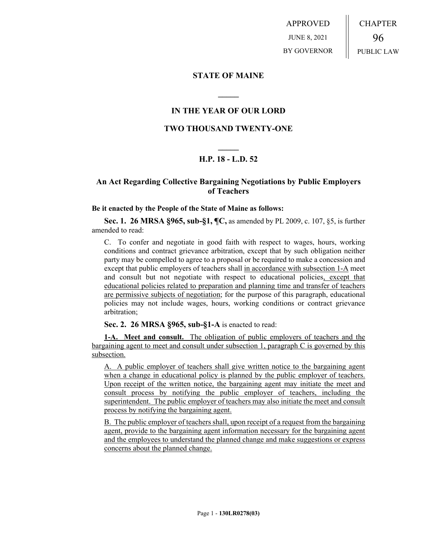APPROVED JUNE 8, 2021 BY GOVERNOR CHAPTER 96 PUBLIC LAW

## **STATE OF MAINE**

## **IN THE YEAR OF OUR LORD**

**\_\_\_\_\_**

## **TWO THOUSAND TWENTY-ONE**

# **\_\_\_\_\_ H.P. 18 - L.D. 52**

## **An Act Regarding Collective Bargaining Negotiations by Public Employers of Teachers**

#### **Be it enacted by the People of the State of Maine as follows:**

**Sec. 1. 26 MRSA §965, sub-§1, ¶C,** as amended by PL 2009, c. 107, §5, is further amended to read:

C. To confer and negotiate in good faith with respect to wages, hours, working conditions and contract grievance arbitration, except that by such obligation neither party may be compelled to agree to a proposal or be required to make a concession and except that public employers of teachers shall in accordance with subsection 1-A meet and consult but not negotiate with respect to educational policies, except that educational policies related to preparation and planning time and transfer of teachers are permissive subjects of negotiation; for the purpose of this paragraph, educational policies may not include wages, hours, working conditions or contract grievance arbitration;

### **Sec. 2. 26 MRSA §965, sub-§1-A** is enacted to read:

**1-A. Meet and consult.** The obligation of public employers of teachers and the bargaining agent to meet and consult under subsection 1, paragraph C is governed by this subsection.

A. A public employer of teachers shall give written notice to the bargaining agent when a change in educational policy is planned by the public employer of teachers. Upon receipt of the written notice, the bargaining agent may initiate the meet and consult process by notifying the public employer of teachers, including the superintendent. The public employer of teachers may also initiate the meet and consult process by notifying the bargaining agent.

B. The public employer of teachers shall, upon receipt of a request from the bargaining agent, provide to the bargaining agent information necessary for the bargaining agent and the employees to understand the planned change and make suggestions or express concerns about the planned change.